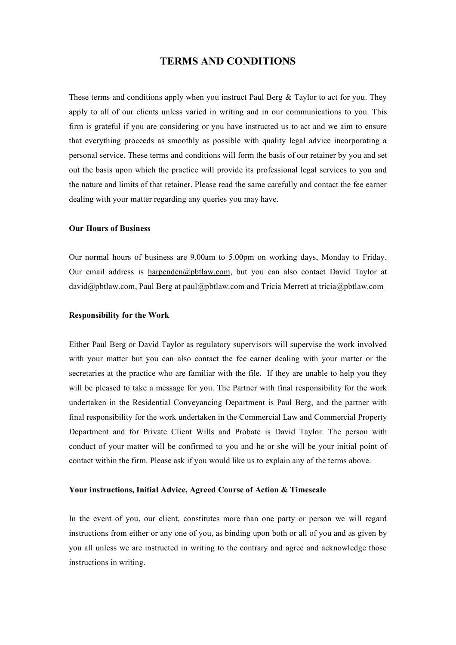# **TERMS AND CONDITIONS**

These terms and conditions apply when you instruct Paul Berg & Taylor to act for you. They apply to all of our clients unless varied in writing and in our communications to you. This firm is grateful if you are considering or you have instructed us to act and we aim to ensure that everything proceeds as smoothly as possible with quality legal advice incorporating a personal service. These terms and conditions will form the basis of our retainer by you and set out the basis upon which the practice will provide its professional legal services to you and the nature and limits of that retainer. Please read the same carefully and contact the fee earner dealing with your matter regarding any queries you may have.

### **Our Hours of Business**

Our normal hours of business are 9.00am to 5.00pm on working days, Monday to Friday. Our email address is harpenden@pbtlaw.com, but you can also contact David Taylor at david@pbtlaw.com, Paul Berg at paul@pbtlaw.com and Tricia Merrett at tricia@pbtlaw.com

# **Responsibility for the Work**

Either Paul Berg or David Taylor as regulatory supervisors will supervise the work involved with your matter but you can also contact the fee earner dealing with your matter or the secretaries at the practice who are familiar with the file. If they are unable to help you they will be pleased to take a message for you. The Partner with final responsibility for the work undertaken in the Residential Conveyancing Department is Paul Berg, and the partner with final responsibility for the work undertaken in the Commercial Law and Commercial Property Department and for Private Client Wills and Probate is David Taylor. The person with conduct of your matter will be confirmed to you and he or she will be your initial point of contact within the firm. Please ask if you would like us to explain any of the terms above.

# **Your instructions, Initial Advice, Agreed Course of Action & Timescale**

In the event of you, our client, constitutes more than one party or person we will regard instructions from either or any one of you, as binding upon both or all of you and as given by you all unless we are instructed in writing to the contrary and agree and acknowledge those instructions in writing.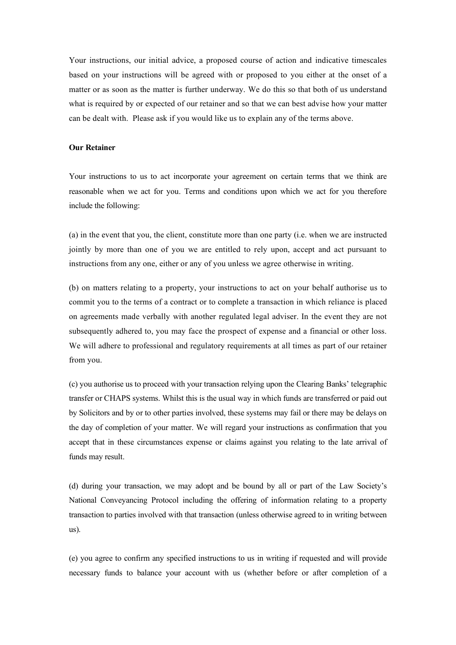Your instructions, our initial advice, a proposed course of action and indicative timescales based on your instructions will be agreed with or proposed to you either at the onset of a matter or as soon as the matter is further underway. We do this so that both of us understand what is required by or expected of our retainer and so that we can best advise how your matter can be dealt with. Please ask if you would like us to explain any of the terms above.

### **Our Retainer**

Your instructions to us to act incorporate your agreement on certain terms that we think are reasonable when we act for you. Terms and conditions upon which we act for you therefore include the following:

(a) in the event that you, the client, constitute more than one party (i.e. when we are instructed jointly by more than one of you we are entitled to rely upon, accept and act pursuant to instructions from any one, either or any of you unless we agree otherwise in writing.

(b) on matters relating to a property, your instructions to act on your behalf authorise us to commit you to the terms of a contract or to complete a transaction in which reliance is placed on agreements made verbally with another regulated legal adviser. In the event they are not subsequently adhered to, you may face the prospect of expense and a financial or other loss. We will adhere to professional and regulatory requirements at all times as part of our retainer from you.

(c) you authorise us to proceed with your transaction relying upon the Clearing Banks' telegraphic transfer or CHAPS systems. Whilst this is the usual way in which funds are transferred or paid out by Solicitors and by or to other parties involved, these systems may fail or there may be delays on the day of completion of your matter. We will regard your instructions as confirmation that you accept that in these circumstances expense or claims against you relating to the late arrival of funds may result.

(d) during your transaction, we may adopt and be bound by all or part of the Law Society's National Conveyancing Protocol including the offering of information relating to a property transaction to parties involved with that transaction (unless otherwise agreed to in writing between us).

(e) you agree to confirm any specified instructions to us in writing if requested and will provide necessary funds to balance your account with us (whether before or after completion of a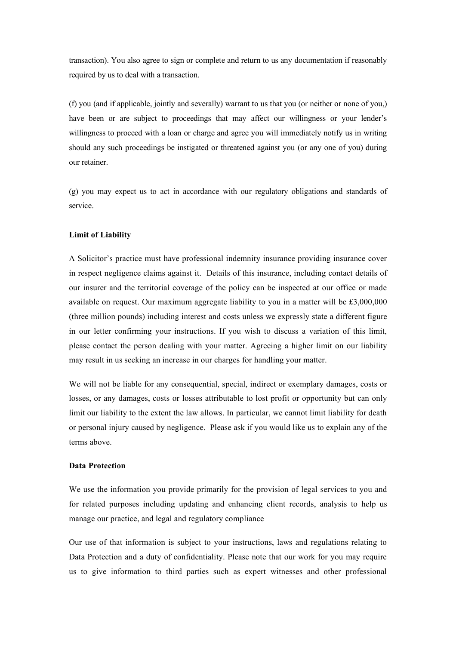transaction). You also agree to sign or complete and return to us any documentation if reasonably required by us to deal with a transaction.

(f) you (and if applicable, jointly and severally) warrant to us that you (or neither or none of you,) have been or are subject to proceedings that may affect our willingness or your lender's willingness to proceed with a loan or charge and agree you will immediately notify us in writing should any such proceedings be instigated or threatened against you (or any one of you) during our retainer.

(g) you may expect us to act in accordance with our regulatory obligations and standards of service.

#### **Limit of Liability**

A Solicitor's practice must have professional indemnity insurance providing insurance cover in respect negligence claims against it. Details of this insurance, including contact details of our insurer and the territorial coverage of the policy can be inspected at our office or made available on request. Our maximum aggregate liability to you in a matter will be £3,000,000 (three million pounds) including interest and costs unless we expressly state a different figure in our letter confirming your instructions. If you wish to discuss a variation of this limit, please contact the person dealing with your matter. Agreeing a higher limit on our liability may result in us seeking an increase in our charges for handling your matter.

We will not be liable for any consequential, special, indirect or exemplary damages, costs or losses, or any damages, costs or losses attributable to lost profit or opportunity but can only limit our liability to the extent the law allows. In particular, we cannot limit liability for death or personal injury caused by negligence. Please ask if you would like us to explain any of the terms above.

# **Data Protection**

We use the information you provide primarily for the provision of legal services to you and for related purposes including updating and enhancing client records, analysis to help us manage our practice, and legal and regulatory compliance

Our use of that information is subject to your instructions, laws and regulations relating to Data Protection and a duty of confidentiality. Please note that our work for you may require us to give information to third parties such as expert witnesses and other professional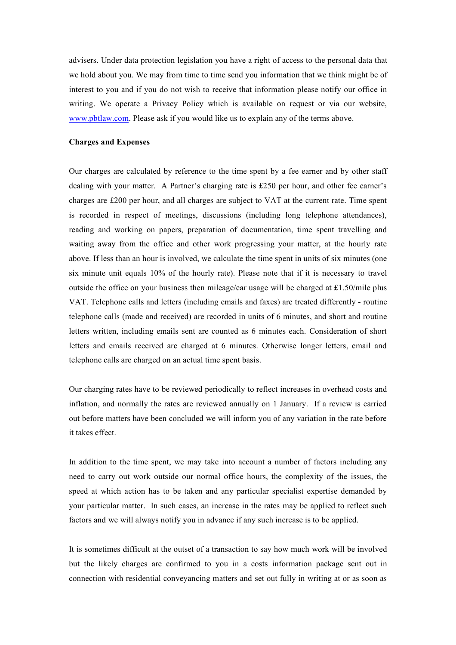advisers. Under data protection legislation you have a right of access to the personal data that we hold about you. We may from time to time send you information that we think might be of interest to you and if you do not wish to receive that information please notify our office in writing. We operate a Privacy Policy which is available on request or via our website, www.pbtlaw.com. Please ask if you would like us to explain any of the terms above.

### **Charges and Expenses**

Our charges are calculated by reference to the time spent by a fee earner and by other staff dealing with your matter. A Partner's charging rate is £250 per hour, and other fee earner's charges are £200 per hour, and all charges are subject to VAT at the current rate. Time spent is recorded in respect of meetings, discussions (including long telephone attendances), reading and working on papers, preparation of documentation, time spent travelling and waiting away from the office and other work progressing your matter, at the hourly rate above. If less than an hour is involved, we calculate the time spent in units of six minutes (one six minute unit equals 10% of the hourly rate). Please note that if it is necessary to travel outside the office on your business then mileage/car usage will be charged at £1.50/mile plus VAT. Telephone calls and letters (including emails and faxes) are treated differently - routine telephone calls (made and received) are recorded in units of 6 minutes, and short and routine letters written, including emails sent are counted as 6 minutes each. Consideration of short letters and emails received are charged at 6 minutes. Otherwise longer letters, email and telephone calls are charged on an actual time spent basis.

Our charging rates have to be reviewed periodically to reflect increases in overhead costs and inflation, and normally the rates are reviewed annually on 1 January. If a review is carried out before matters have been concluded we will inform you of any variation in the rate before it takes effect.

In addition to the time spent, we may take into account a number of factors including any need to carry out work outside our normal office hours, the complexity of the issues, the speed at which action has to be taken and any particular specialist expertise demanded by your particular matter. In such cases, an increase in the rates may be applied to reflect such factors and we will always notify you in advance if any such increase is to be applied.

It is sometimes difficult at the outset of a transaction to say how much work will be involved but the likely charges are confirmed to you in a costs information package sent out in connection with residential conveyancing matters and set out fully in writing at or as soon as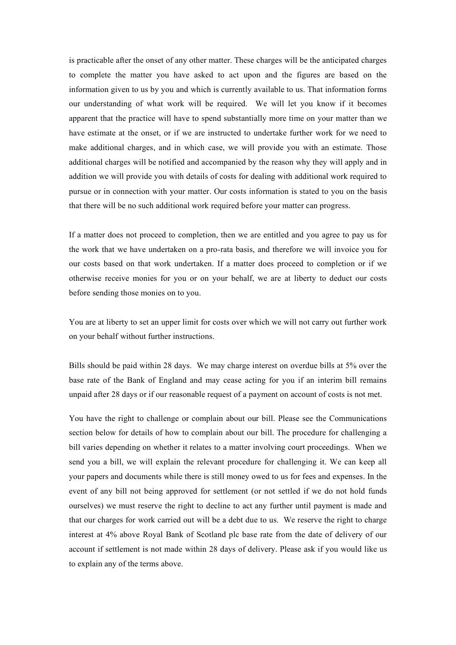is practicable after the onset of any other matter. These charges will be the anticipated charges to complete the matter you have asked to act upon and the figures are based on the information given to us by you and which is currently available to us. That information forms our understanding of what work will be required. We will let you know if it becomes apparent that the practice will have to spend substantially more time on your matter than we have estimate at the onset, or if we are instructed to undertake further work for we need to make additional charges, and in which case, we will provide you with an estimate. Those additional charges will be notified and accompanied by the reason why they will apply and in addition we will provide you with details of costs for dealing with additional work required to pursue or in connection with your matter. Our costs information is stated to you on the basis that there will be no such additional work required before your matter can progress.

If a matter does not proceed to completion, then we are entitled and you agree to pay us for the work that we have undertaken on a pro-rata basis, and therefore we will invoice you for our costs based on that work undertaken. If a matter does proceed to completion or if we otherwise receive monies for you or on your behalf, we are at liberty to deduct our costs before sending those monies on to you.

You are at liberty to set an upper limit for costs over which we will not carry out further work on your behalf without further instructions.

Bills should be paid within 28 days. We may charge interest on overdue bills at 5% over the base rate of the Bank of England and may cease acting for you if an interim bill remains unpaid after 28 days or if our reasonable request of a payment on account of costs is not met.

You have the right to challenge or complain about our bill. Please see the Communications section below for details of how to complain about our bill. The procedure for challenging a bill varies depending on whether it relates to a matter involving court proceedings. When we send you a bill, we will explain the relevant procedure for challenging it. We can keep all your papers and documents while there is still money owed to us for fees and expenses. In the event of any bill not being approved for settlement (or not settled if we do not hold funds ourselves) we must reserve the right to decline to act any further until payment is made and that our charges for work carried out will be a debt due to us. We reserve the right to charge interest at 4% above Royal Bank of Scotland plc base rate from the date of delivery of our account if settlement is not made within 28 days of delivery. Please ask if you would like us to explain any of the terms above.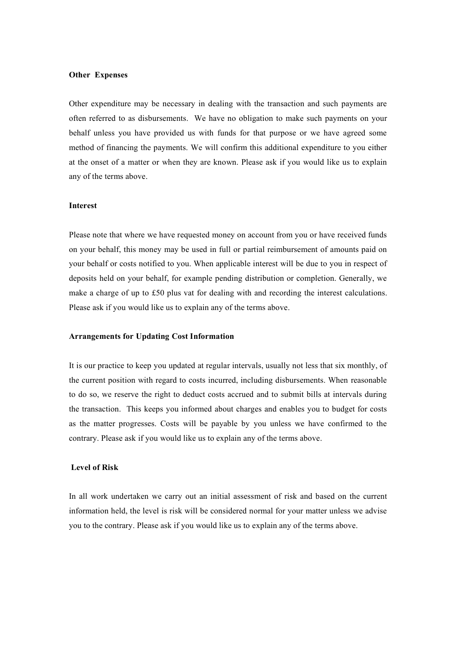### **Other Expenses**

Other expenditure may be necessary in dealing with the transaction and such payments are often referred to as disbursements. We have no obligation to make such payments on your behalf unless you have provided us with funds for that purpose or we have agreed some method of financing the payments. We will confirm this additional expenditure to you either at the onset of a matter or when they are known. Please ask if you would like us to explain any of the terms above.

### **Interest**

Please note that where we have requested money on account from you or have received funds on your behalf, this money may be used in full or partial reimbursement of amounts paid on your behalf or costs notified to you. When applicable interest will be due to you in respect of deposits held on your behalf, for example pending distribution or completion. Generally, we make a charge of up to £50 plus vat for dealing with and recording the interest calculations. Please ask if you would like us to explain any of the terms above.

#### **Arrangements for Updating Cost Information**

It is our practice to keep you updated at regular intervals, usually not less that six monthly, of the current position with regard to costs incurred, including disbursements. When reasonable to do so, we reserve the right to deduct costs accrued and to submit bills at intervals during the transaction. This keeps you informed about charges and enables you to budget for costs as the matter progresses. Costs will be payable by you unless we have confirmed to the contrary. Please ask if you would like us to explain any of the terms above.

### **Level of Risk**

In all work undertaken we carry out an initial assessment of risk and based on the current information held, the level is risk will be considered normal for your matter unless we advise you to the contrary. Please ask if you would like us to explain any of the terms above.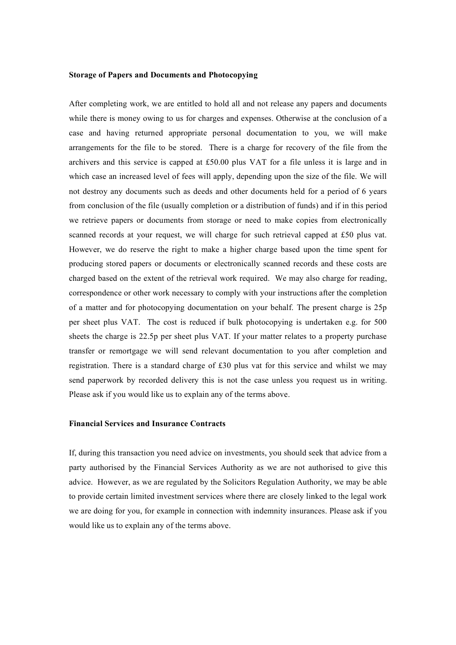### **Storage of Papers and Documents and Photocopying**

After completing work, we are entitled to hold all and not release any papers and documents while there is money owing to us for charges and expenses. Otherwise at the conclusion of a case and having returned appropriate personal documentation to you, we will make arrangements for the file to be stored. There is a charge for recovery of the file from the archivers and this service is capped at £50.00 plus VAT for a file unless it is large and in which case an increased level of fees will apply, depending upon the size of the file. We will not destroy any documents such as deeds and other documents held for a period of 6 years from conclusion of the file (usually completion or a distribution of funds) and if in this period we retrieve papers or documents from storage or need to make copies from electronically scanned records at your request, we will charge for such retrieval capped at £50 plus vat. However, we do reserve the right to make a higher charge based upon the time spent for producing stored papers or documents or electronically scanned records and these costs are charged based on the extent of the retrieval work required. We may also charge for reading, correspondence or other work necessary to comply with your instructions after the completion of a matter and for photocopying documentation on your behalf. The present charge is 25p per sheet plus VAT. The cost is reduced if bulk photocopying is undertaken e.g. for 500 sheets the charge is 22.5p per sheet plus VAT. If your matter relates to a property purchase transfer or remortgage we will send relevant documentation to you after completion and registration. There is a standard charge of £30 plus vat for this service and whilst we may send paperwork by recorded delivery this is not the case unless you request us in writing. Please ask if you would like us to explain any of the terms above.

# **Financial Services and Insurance Contracts**

If, during this transaction you need advice on investments, you should seek that advice from a party authorised by the Financial Services Authority as we are not authorised to give this advice. However, as we are regulated by the Solicitors Regulation Authority, we may be able to provide certain limited investment services where there are closely linked to the legal work we are doing for you, for example in connection with indemnity insurances. Please ask if you would like us to explain any of the terms above.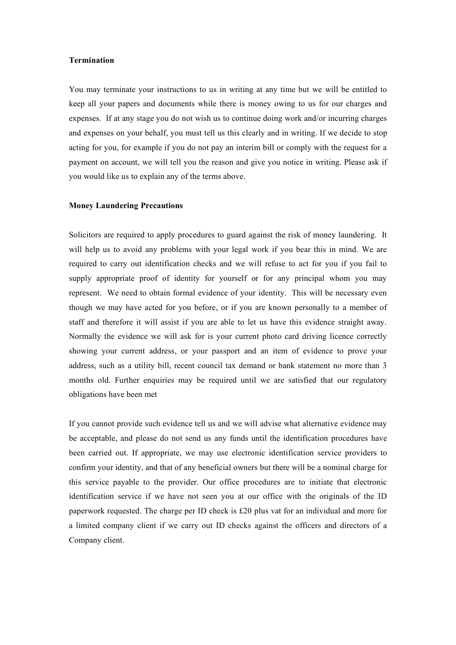### **Termination**

You may terminate your instructions to us in writing at any time but we will be entitled to keep all your papers and documents while there is money owing to us for our charges and expenses. If at any stage you do not wish us to continue doing work and/or incurring charges and expenses on your behalf, you must tell us this clearly and in writing. If we decide to stop acting for you, for example if you do not pay an interim bill or comply with the request for a payment on account, we will tell you the reason and give you notice in writing. Please ask if you would like us to explain any of the terms above.

# **Money Laundering Precautions**

Solicitors are required to apply procedures to guard against the risk of money laundering. It will help us to avoid any problems with your legal work if you bear this in mind. We are required to carry out identification checks and we will refuse to act for you if you fail to supply appropriate proof of identity for yourself or for any principal whom you may represent. We need to obtain formal evidence of your identity. This will be necessary even though we may have acted for you before, or if you are known personally to a member of staff and therefore it will assist if you are able to let us have this evidence straight away. Normally the evidence we will ask for is your current photo card driving licence correctly showing your current address, or your passport and an item of evidence to prove your address, such as a utility bill, recent council tax demand or bank statement no more than 3 months old. Further enquiries may be required until we are satisfied that our regulatory obligations have been met

If you cannot provide such evidence tell us and we will advise what alternative evidence may be acceptable, and please do not send us any funds until the identification procedures have been carried out. If appropriate, we may use electronic identification service providers to confirm your identity, and that of any beneficial owners but there will be a nominal charge for this service payable to the provider. Our office procedures are to initiate that electronic identification service if we have not seen you at our office with the originals of the ID paperwork requested. The charge per ID check is £20 plus vat for an individual and more for a limited company client if we carry out ID checks against the officers and directors of a Company client.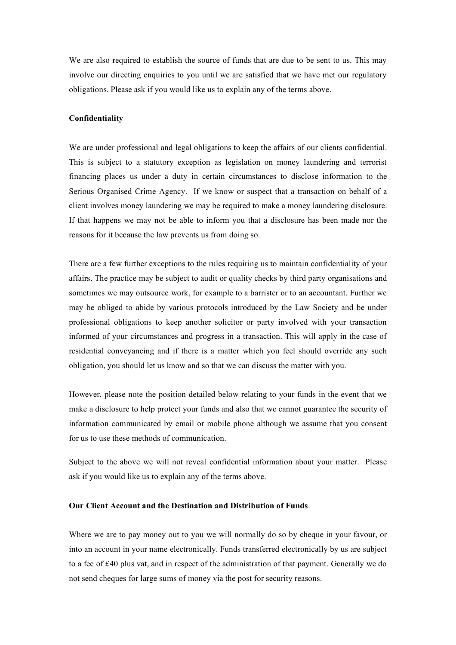We are also required to establish the source of funds that are due to be sent to us. This may involve our directing enquiries to you until we are satisfied that we have met our regulatory obligations. Please ask if you would like us to explain any of the terms above.

### **Confidentiality**

We are under professional and legal obligations to keep the affairs of our clients confidential. This is subject to a statutory exception as legislation on money laundering and terrorist financing places us under a duty in certain circumstances to disclose information to the Serious Organised Crime Agency. If we know or suspect that a transaction on behalf of a client involves money laundering we may be required to make a money laundering disclosure. If that happens we may not be able to inform you that a disclosure has been made nor the reasons for it because the law prevents us from doing so.

There are a few further exceptions to the rules requiring us to maintain confidentiality of your affairs. The practice may be subject to audit or quality checks by third party organisations and sometimes we may outsource work, for example to a barrister or to an accountant. Further we may be obliged to abide by various protocols introduced by the Law Society and be under professional obligations to keep another solicitor or party involved with your transaction informed of your circumstances and progress in a transaction. This will apply in the case of residential conveyancing and if there is a matter which you feel should override any such obligation, you should let us know and so that we can discuss the matter with you.

However, please note the position detailed below relating to your funds in the event that we make a disclosure to help protect your funds and also that we cannot guarantee the security of information communicated by email or mobile phone although we assume that you consent for us to use these methods of communication.

Subject to the above we will not reveal confidential information about your matter. Please ask if you would like us to explain any of the terms above.

### **Our Client Account and the Destination and Distribution of Funds**.

Where we are to pay money out to you we will normally do so by cheque in your favour, or into an account in your name electronically. Funds transferred electronically by us are subject to a fee of £40 plus vat, and in respect of the administration of that payment. Generally we do not send cheques for large sums of money via the post for security reasons.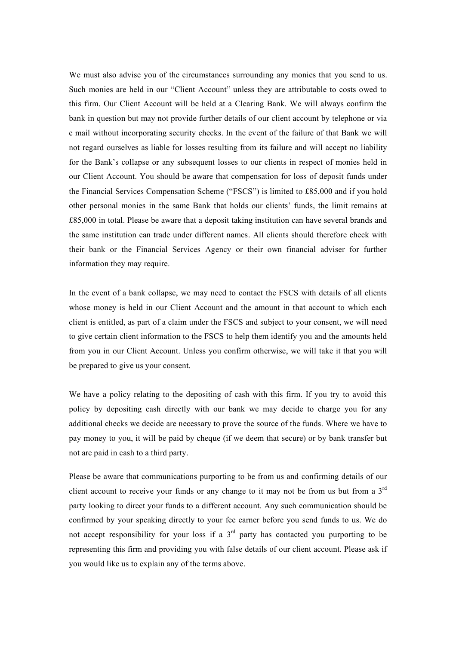We must also advise you of the circumstances surrounding any monies that you send to us. Such monies are held in our "Client Account" unless they are attributable to costs owed to this firm. Our Client Account will be held at a Clearing Bank. We will always confirm the bank in question but may not provide further details of our client account by telephone or via e mail without incorporating security checks. In the event of the failure of that Bank we will not regard ourselves as liable for losses resulting from its failure and will accept no liability for the Bank's collapse or any subsequent losses to our clients in respect of monies held in our Client Account. You should be aware that compensation for loss of deposit funds under the Financial Services Compensation Scheme ("FSCS") is limited to £85,000 and if you hold other personal monies in the same Bank that holds our clients' funds, the limit remains at £85,000 in total. Please be aware that a deposit taking institution can have several brands and the same institution can trade under different names. All clients should therefore check with their bank or the Financial Services Agency or their own financial adviser for further information they may require.

In the event of a bank collapse, we may need to contact the FSCS with details of all clients whose money is held in our Client Account and the amount in that account to which each client is entitled, as part of a claim under the FSCS and subject to your consent, we will need to give certain client information to the FSCS to help them identify you and the amounts held from you in our Client Account. Unless you confirm otherwise, we will take it that you will be prepared to give us your consent.

We have a policy relating to the depositing of cash with this firm. If you try to avoid this policy by depositing cash directly with our bank we may decide to charge you for any additional checks we decide are necessary to prove the source of the funds. Where we have to pay money to you, it will be paid by cheque (if we deem that secure) or by bank transfer but not are paid in cash to a third party.

Please be aware that communications purporting to be from us and confirming details of our client account to receive your funds or any change to it may not be from us but from a  $3<sup>rd</sup>$ party looking to direct your funds to a different account. Any such communication should be confirmed by your speaking directly to your fee earner before you send funds to us. We do not accept responsibility for your loss if a  $3<sup>rd</sup>$  party has contacted you purporting to be representing this firm and providing you with false details of our client account. Please ask if you would like us to explain any of the terms above.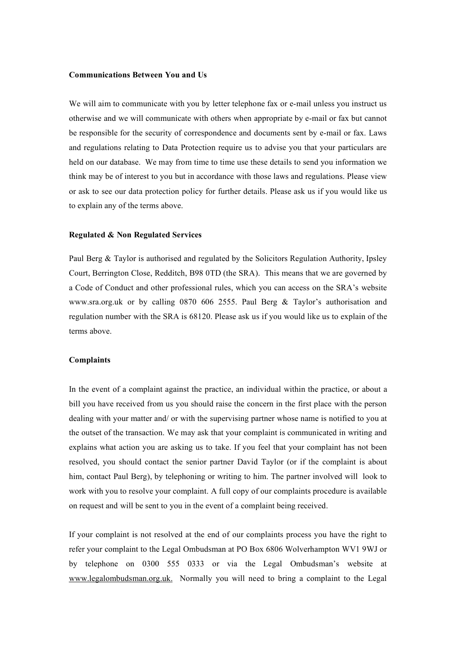### **Communications Between You and Us**

We will aim to communicate with you by letter telephone fax or e-mail unless you instruct us otherwise and we will communicate with others when appropriate by e-mail or fax but cannot be responsible for the security of correspondence and documents sent by e-mail or fax. Laws and regulations relating to Data Protection require us to advise you that your particulars are held on our database. We may from time to time use these details to send you information we think may be of interest to you but in accordance with those laws and regulations. Please view or ask to see our data protection policy for further details. Please ask us if you would like us to explain any of the terms above.

#### **Regulated & Non Regulated Services**

Paul Berg & Taylor is authorised and regulated by the Solicitors Regulation Authority, Ipsley Court, Berrington Close, Redditch, B98 0TD (the SRA). This means that we are governed by a Code of Conduct and other professional rules, which you can access on the SRA's website www.sra.org.uk or by calling 0870 606 2555. Paul Berg & Taylor's authorisation and regulation number with the SRA is 68120. Please ask us if you would like us to explain of the terms above.

### **Complaints**

In the event of a complaint against the practice, an individual within the practice, or about a bill you have received from us you should raise the concern in the first place with the person dealing with your matter and/ or with the supervising partner whose name is notified to you at the outset of the transaction. We may ask that your complaint is communicated in writing and explains what action you are asking us to take. If you feel that your complaint has not been resolved, you should contact the senior partner David Taylor (or if the complaint is about him, contact Paul Berg), by telephoning or writing to him. The partner involved will look to work with you to resolve your complaint. A full copy of our complaints procedure is available on request and will be sent to you in the event of a complaint being received.

If your complaint is not resolved at the end of our complaints process you have the right to refer your complaint to the Legal Ombudsman at PO Box 6806 Wolverhampton WV1 9WJ or by telephone on 0300 555 0333 or via the Legal Ombudsman's website at www.legalombudsman.org.uk. Normally you will need to bring a complaint to the Legal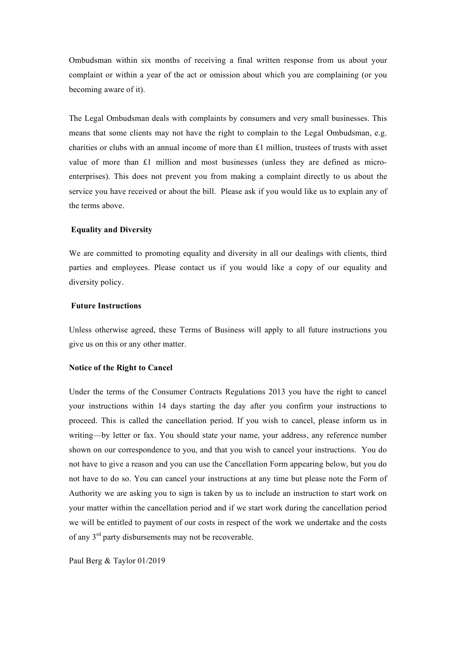Ombudsman within six months of receiving a final written response from us about your complaint or within a year of the act or omission about which you are complaining (or you becoming aware of it).

The Legal Ombudsman deals with complaints by consumers and very small businesses. This means that some clients may not have the right to complain to the Legal Ombudsman, e.g. charities or clubs with an annual income of more than £1 million, trustees of trusts with asset value of more than £1 million and most businesses (unless they are defined as microenterprises). This does not prevent you from making a complaint directly to us about the service you have received or about the bill. Please ask if you would like us to explain any of the terms above.

#### **Equality and Diversity**

We are committed to promoting equality and diversity in all our dealings with clients, third parties and employees. Please contact us if you would like a copy of our equality and diversity policy.

### **Future Instructions**

Unless otherwise agreed, these Terms of Business will apply to all future instructions you give us on this or any other matter.

### **Notice of the Right to Cancel**

Under the terms of the Consumer Contracts Regulations 2013 you have the right to cancel your instructions within 14 days starting the day after you confirm your instructions to proceed. This is called the cancellation period. If you wish to cancel, please inform us in writing—by letter or fax. You should state your name, your address, any reference number shown on our correspondence to you, and that you wish to cancel your instructions. You do not have to give a reason and you can use the Cancellation Form appearing below, but you do not have to do so. You can cancel your instructions at any time but please note the Form of Authority we are asking you to sign is taken by us to include an instruction to start work on your matter within the cancellation period and if we start work during the cancellation period we will be entitled to payment of our costs in respect of the work we undertake and the costs of any 3rd party disbursements may not be recoverable.

Paul Berg & Taylor 01/2019